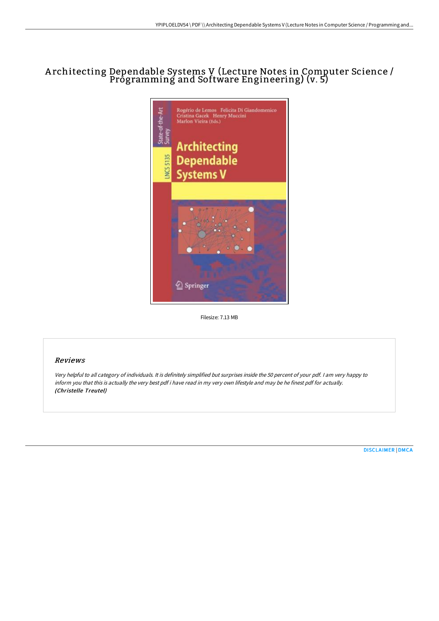# A rchitecting Dependable Systems V (Lecture Notes in Computer Science / Programming and Software Engineering) (v. 5)



Filesize: 7.13 MB

## Reviews

Very helpful to all category of individuals. It is definitely simplified but surprises inside the <sup>50</sup> percent of your pdf. <sup>I</sup> am very happy to inform you that this is actually the very best pdf i have read in my very own lifestyle and may be he finest pdf for actually. (Christelle Treutel)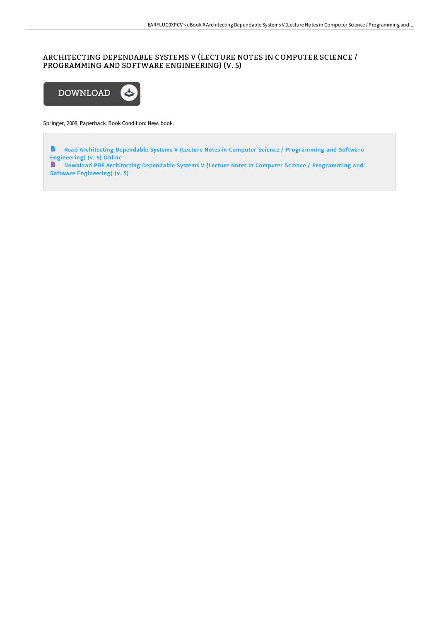# ARCHITECTING DEPENDABLE SYSTEMS V (LECTURE NOTES IN COMPUTER SCIENCE / PROGRAMMING AND SOFTWARE ENGINEERING) (V. 5)



Springer, 2008. Paperback. Book Condition: New. book.

Read Architecting Dependable Systems V (Lecture Notes in Computer Science / [Programming](http://digilib.live/architecting-dependable-systems-v-lecture-notes-.html) and Software Engineering) (v. 5) Online Download PDF Ar chitecting Dependable Systems V (Lecture Notes in Computer Science / [Programming](http://digilib.live/architecting-dependable-systems-v-lecture-notes-.html) and Software Engineering) (v. 5)